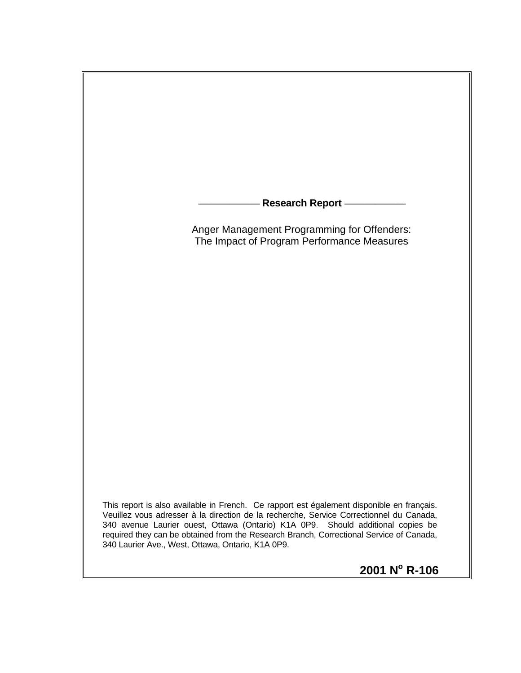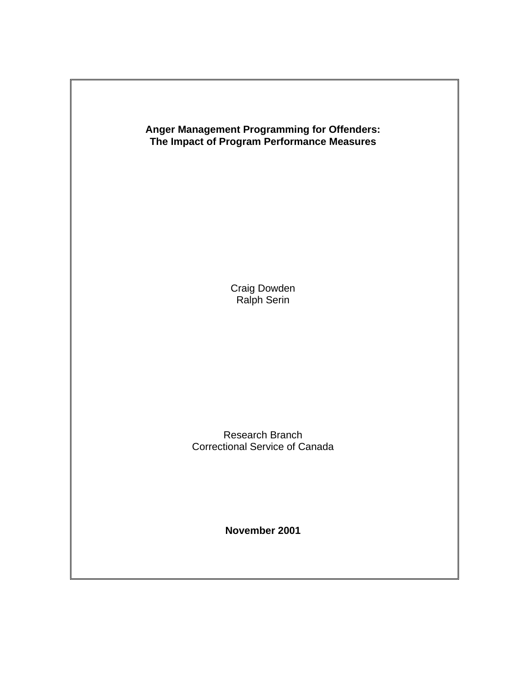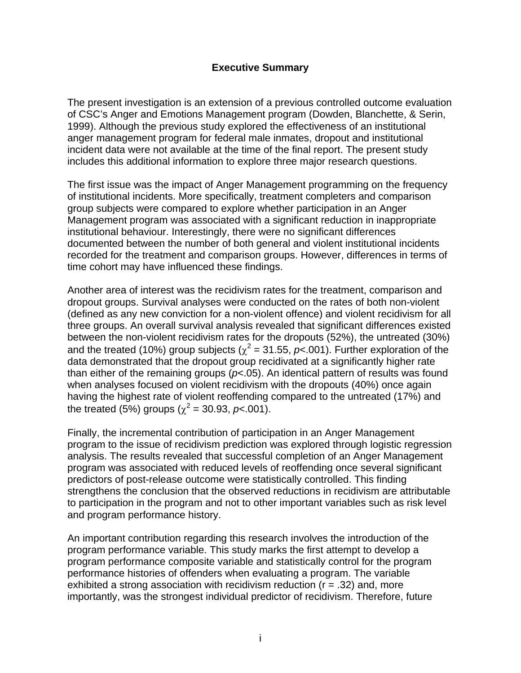#### **Executive Summary**

The present investigation is an extension of a previous controlled outcome evaluation of CSC's Anger and Emotions Management program (Dowden, Blanchette, & Serin, 1999). Although the previous study explored the effectiveness of an institutional anger management program for federal male inmates, dropout and institutional incident data were not available at the time of the final report. The present study includes this additional information to explore three major research questions.

The first issue was the impact of Anger Management programming on the frequency of institutional incidents. More specifically, treatment completers and comparison group subjects were compared to explore whether participation in an Anger Management program was associated with a significant reduction in inappropriate institutional behaviour. Interestingly, there were no significant differences documented between the number of both general and violent institutional incidents recorded for the treatment and comparison groups. However, differences in terms of time cohort may have influenced these findings.

Another area of interest was the recidivism rates for the treatment, comparison and dropout groups. Survival analyses were conducted on the rates of both non-violent (defined as any new conviction for a non-violent offence) and violent recidivism for all three groups. An overall survival analysis revealed that significant differences existed between the non-violent recidivism rates for the dropouts (52%), the untreated (30%) and the treated (10%) group subjects ( $\chi^2$  = 31.55, p<.001). Further exploration of the data demonstrated that the dropout group recidivated at a significantly higher rate than either of the remaining groups (*p*<.05). An identical pattern of results was found when analyses focused on violent recidivism with the dropouts (40%) once again having the highest rate of violent reoffending compared to the untreated (17%) and the treated (5%) groups ( $\chi^2$  = 30.93, *p*<.001).

Finally, the incremental contribution of participation in an Anger Management program to the issue of recidivism prediction was explored through logistic regression analysis. The results revealed that successful completion of an Anger Management program was associated with reduced levels of reoffending once several significant predictors of post-release outcome were statistically controlled. This finding strengthens the conclusion that the observed reductions in recidivism are attributable to participation in the program and not to other important variables such as risk level and program performance history.

An important contribution regarding this research involves the introduction of the program performance variable. This study marks the first attempt to develop a program performance composite variable and statistically control for the program performance histories of offenders when evaluating a program. The variable exhibited a strong association with recidivism reduction  $(r = .32)$  and, more importantly, was the strongest individual predictor of recidivism. Therefore, future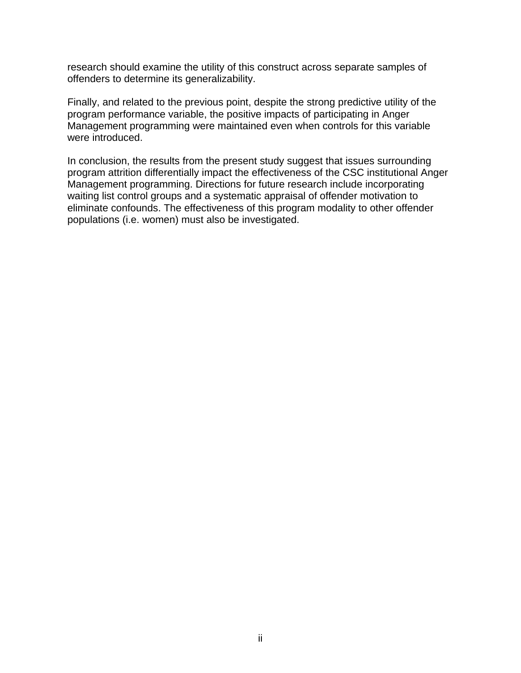research should examine the utility of this construct across separate samples of offenders to determine its generalizability.

Finally, and related to the previous point, despite the strong predictive utility of the program performance variable, the positive impacts of participating in Anger Management programming were maintained even when controls for this variable were introduced.

In conclusion, the results from the present study suggest that issues surrounding program attrition differentially impact the effectiveness of the CSC institutional Anger Management programming. Directions for future research include incorporating waiting list control groups and a systematic appraisal of offender motivation to eliminate confounds. The effectiveness of this program modality to other offender populations (i.e. women) must also be investigated.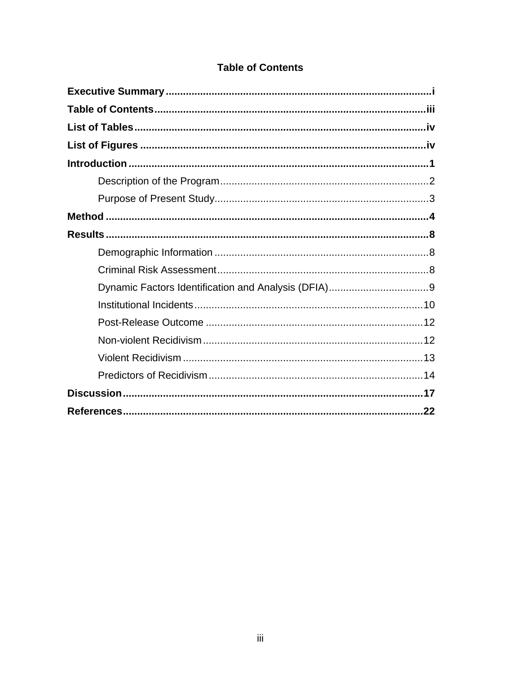| <b>Table of Contents</b> |  |  |
|--------------------------|--|--|
|                          |  |  |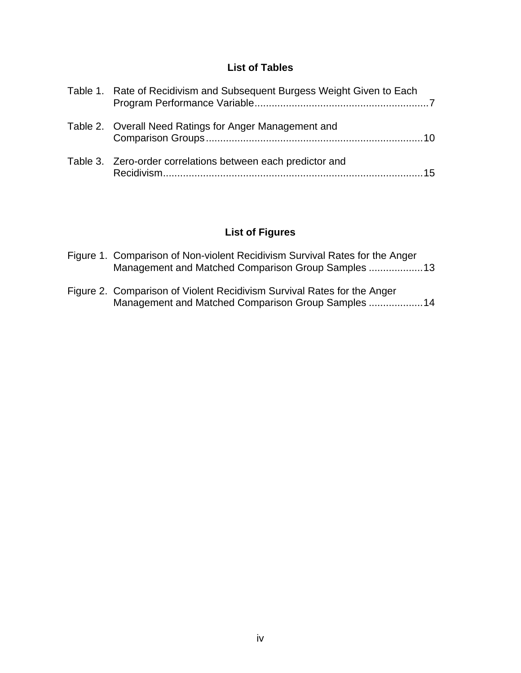## **List of Tables**

| Table 1. Rate of Recidivism and Subsequent Burgess Weight Given to Each |
|-------------------------------------------------------------------------|
| Table 2. Overall Need Ratings for Anger Management and                  |
| Table 3. Zero-order correlations between each predictor and<br>15       |

# **List of Figures**

Management and Matched Comparison Group Samples ...................14

| Figure 1. Comparison of Non-violent Recidivism Survival Rates for the Anger<br>Management and Matched Comparison Group Samples 13 |  |
|-----------------------------------------------------------------------------------------------------------------------------------|--|
| Figure 2. Comparison of Violent Recidivism Survival Rates for the Anger                                                           |  |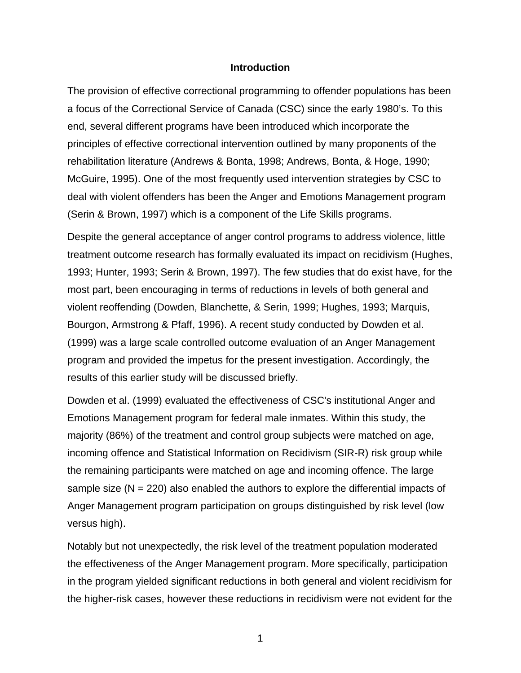#### **Introduction**

The provision of effective correctional programming to offender populations has been a focus of the Correctional Service of Canada (CSC) since the early 1980's. To this end, several different programs have been introduced which incorporate the principles of effective correctional intervention outlined by many proponents of the rehabilitation literature (Andrews & Bonta, 1998; Andrews, Bonta, & Hoge, 1990; McGuire, 1995). One of the most frequently used intervention strategies by CSC to deal with violent offenders has been the Anger and Emotions Management program (Serin & Brown, 1997) which is a component of the Life Skills programs.

Despite the general acceptance of anger control programs to address violence, little treatment outcome research has formally evaluated its impact on recidivism (Hughes, 1993; Hunter, 1993; Serin & Brown, 1997). The few studies that do exist have, for the most part, been encouraging in terms of reductions in levels of both general and violent reoffending (Dowden, Blanchette, & Serin, 1999; Hughes, 1993; Marquis, Bourgon, Armstrong & Pfaff, 1996). A recent study conducted by Dowden et al. (1999) was a large scale controlled outcome evaluation of an Anger Management program and provided the impetus for the present investigation. Accordingly, the results of this earlier study will be discussed briefly.

Dowden et al. (1999) evaluated the effectiveness of CSC's institutional Anger and Emotions Management program for federal male inmates. Within this study, the majority (86%) of the treatment and control group subjects were matched on age, incoming offence and Statistical Information on Recidivism (SIR-R) risk group while the remaining participants were matched on age and incoming offence. The large sample size  $(N = 220)$  also enabled the authors to explore the differential impacts of Anger Management program participation on groups distinguished by risk level (low versus high).

Notably but not unexpectedly, the risk level of the treatment population moderated the effectiveness of the Anger Management program. More specifically, participation in the program yielded significant reductions in both general and violent recidivism for the higher-risk cases, however these reductions in recidivism were not evident for the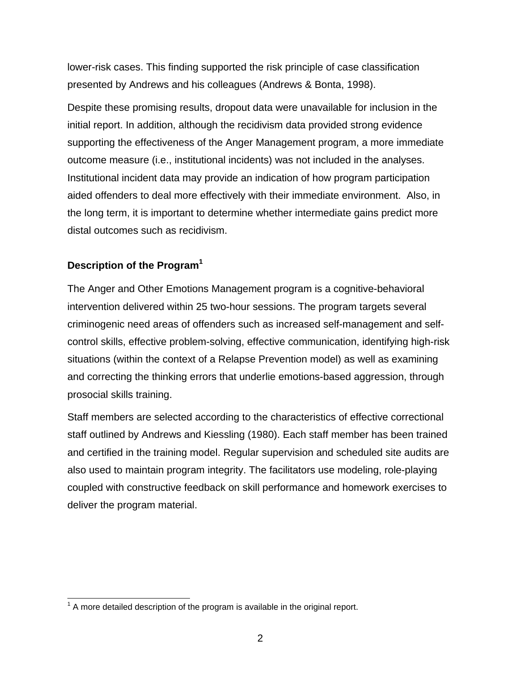lower-risk cases. This finding supported the risk principle of case classification presented by Andrews and his colleagues (Andrews & Bonta, 1998).

Despite these promising results, dropout data were unavailable for inclusion in the initial report. In addition, although the recidivism data provided strong evidence supporting the effectiveness of the Anger Management program, a more immediate outcome measure (i.e., institutional incidents) was not included in the analyses. Institutional incident data may provide an indication of how program participation aided offenders to deal more effectively with their immediate environment. Also, in the long term, it is important to determine whether intermediate gains predict more distal outcomes such as recidivism.

# **Description of the Program[1](#page-7-0)**

The Anger and Other Emotions Management program is a cognitive-behavioral intervention delivered within 25 two-hour sessions. The program targets several criminogenic need areas of offenders such as increased self-management and selfcontrol skills, effective problem-solving, effective communication, identifying high-risk situations (within the context of a Relapse Prevention model) as well as examining and correcting the thinking errors that underlie emotions-based aggression, through prosocial skills training.

Staff members are selected according to the characteristics of effective correctional staff outlined by Andrews and Kiessling (1980). Each staff member has been trained and certified in the training model. Regular supervision and scheduled site audits are also used to maintain program integrity. The facilitators use modeling, role-playing coupled with constructive feedback on skill performance and homework exercises to deliver the program material.

<span id="page-7-0"></span> $\overline{\phantom{a}}$  $1$  A more detailed description of the program is available in the original report.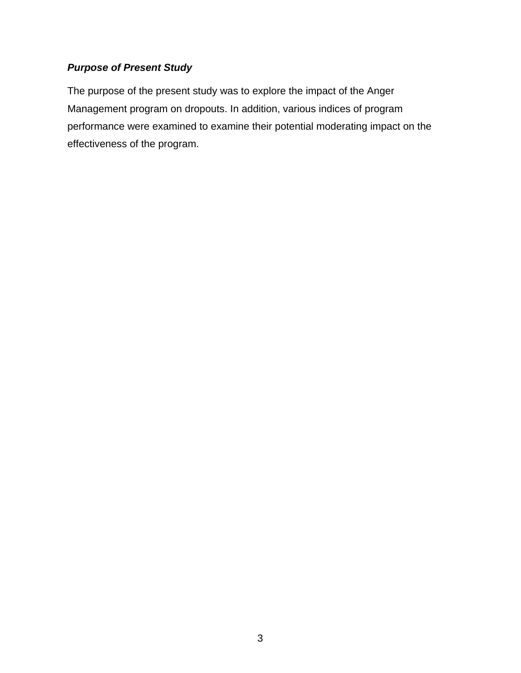# *Purpose of Present Study*

The purpose of the present study was to explore the impact of the Anger Management program on dropouts. In addition, various indices of program performance were examined to examine their potential moderating impact on the effectiveness of the program.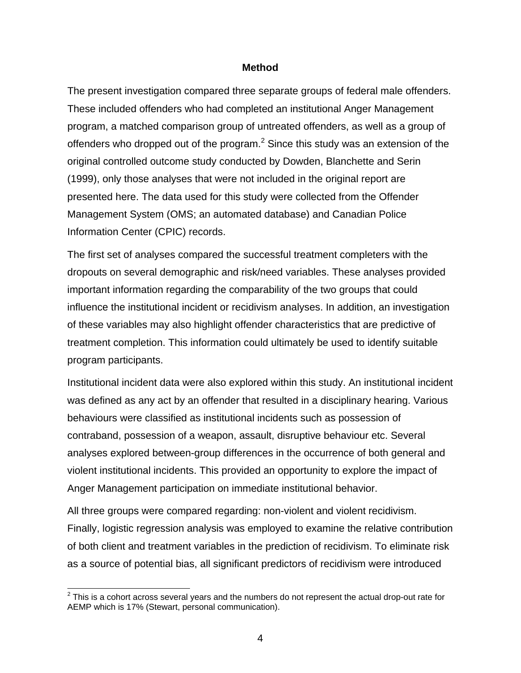#### **Method**

The present investigation compared three separate groups of federal male offenders. These included offenders who had completed an institutional Anger Management program, a matched comparison group of untreated offenders, as well as a group of offenders who dropped out of the program. $^2$  $^2$  Since this study was an extension of the original controlled outcome study conducted by Dowden, Blanchette and Serin (1999), only those analyses that were not included in the original report are presented here. The data used for this study were collected from the Offender Management System (OMS; an automated database) and Canadian Police Information Center (CPIC) records.

The first set of analyses compared the successful treatment completers with the dropouts on several demographic and risk/need variables. These analyses provided important information regarding the comparability of the two groups that could influence the institutional incident or recidivism analyses. In addition, an investigation of these variables may also highlight offender characteristics that are predictive of treatment completion. This information could ultimately be used to identify suitable program participants.

Institutional incident data were also explored within this study. An institutional incident was defined as any act by an offender that resulted in a disciplinary hearing. Various behaviours were classified as institutional incidents such as possession of contraband, possession of a weapon, assault, disruptive behaviour etc. Several analyses explored between-group differences in the occurrence of both general and violent institutional incidents. This provided an opportunity to explore the impact of Anger Management participation on immediate institutional behavior.

All three groups were compared regarding: non-violent and violent recidivism. Finally, logistic regression analysis was employed to examine the relative contribution of both client and treatment variables in the prediction of recidivism. To eliminate risk as a source of potential bias, all significant predictors of recidivism were introduced

<span id="page-9-0"></span> 2 This is a cohort across several years and the numbers do not represent the actual drop-out rate for AEMP which is 17% (Stewart, personal communication).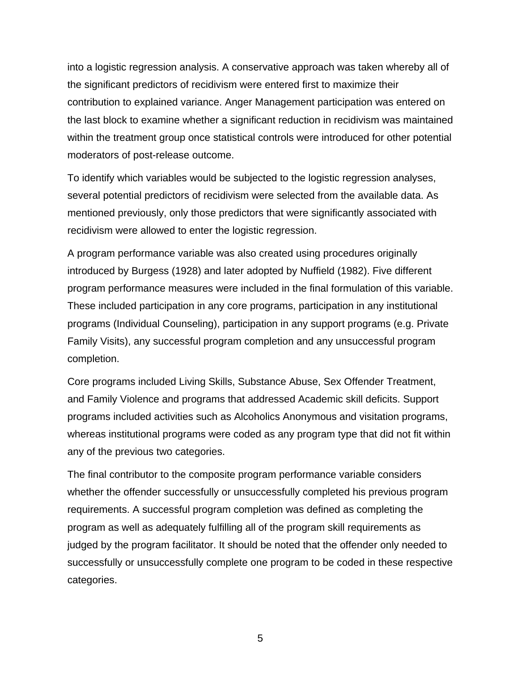into a logistic regression analysis. A conservative approach was taken whereby all of the significant predictors of recidivism were entered first to maximize their contribution to explained variance. Anger Management participation was entered on the last block to examine whether a significant reduction in recidivism was maintained within the treatment group once statistical controls were introduced for other potential moderators of post-release outcome.

To identify which variables would be subjected to the logistic regression analyses, several potential predictors of recidivism were selected from the available data. As mentioned previously, only those predictors that were significantly associated with recidivism were allowed to enter the logistic regression.

A program performance variable was also created using procedures originally introduced by Burgess (1928) and later adopted by Nuffield (1982). Five different program performance measures were included in the final formulation of this variable. These included participation in any core programs, participation in any institutional programs (Individual Counseling), participation in any support programs (e.g. Private Family Visits), any successful program completion and any unsuccessful program completion.

Core programs included Living Skills, Substance Abuse, Sex Offender Treatment, and Family Violence and programs that addressed Academic skill deficits. Support programs included activities such as Alcoholics Anonymous and visitation programs, whereas institutional programs were coded as any program type that did not fit within any of the previous two categories.

The final contributor to the composite program performance variable considers whether the offender successfully or unsuccessfully completed his previous program requirements. A successful program completion was defined as completing the program as well as adequately fulfilling all of the program skill requirements as judged by the program facilitator. It should be noted that the offender only needed to successfully or unsuccessfully complete one program to be coded in these respective categories.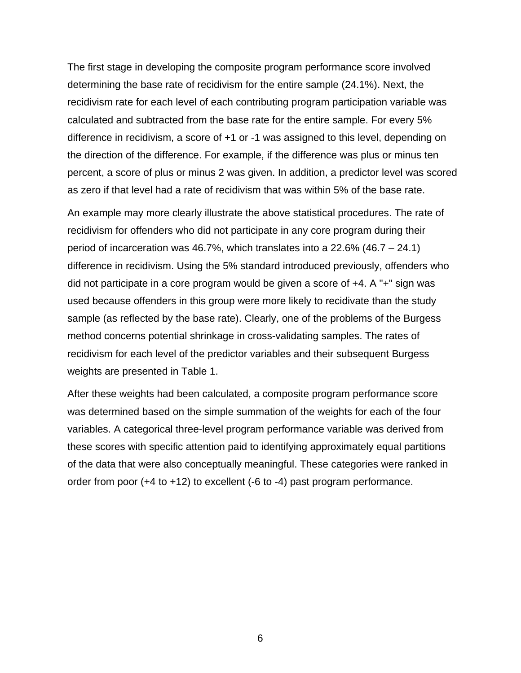The first stage in developing the composite program performance score involved determining the base rate of recidivism for the entire sample (24.1%). Next, the recidivism rate for each level of each contributing program participation variable was calculated and subtracted from the base rate for the entire sample. For every 5% difference in recidivism, a score of +1 or -1 was assigned to this level, depending on the direction of the difference. For example, if the difference was plus or minus ten percent, a score of plus or minus 2 was given. In addition, a predictor level was scored as zero if that level had a rate of recidivism that was within 5% of the base rate.

An example may more clearly illustrate the above statistical procedures. The rate of recidivism for offenders who did not participate in any core program during their period of incarceration was 46.7%, which translates into a 22.6% (46.7 – 24.1) difference in recidivism. Using the 5% standard introduced previously, offenders who did not participate in a core program would be given a score of +4. A "+" sign was used because offenders in this group were more likely to recidivate than the study sample (as reflected by the base rate). Clearly, one of the problems of the Burgess method concerns potential shrinkage in cross-validating samples. The rates of recidivism for each level of the predictor variables and their subsequent Burgess weights are presented in Table 1.

After these weights had been calculated, a composite program performance score was determined based on the simple summation of the weights for each of the four variables. A categorical three-level program performance variable was derived from these scores with specific attention paid to identifying approximately equal partitions of the data that were also conceptually meaningful. These categories were ranked in order from poor (+4 to +12) to excellent (-6 to -4) past program performance.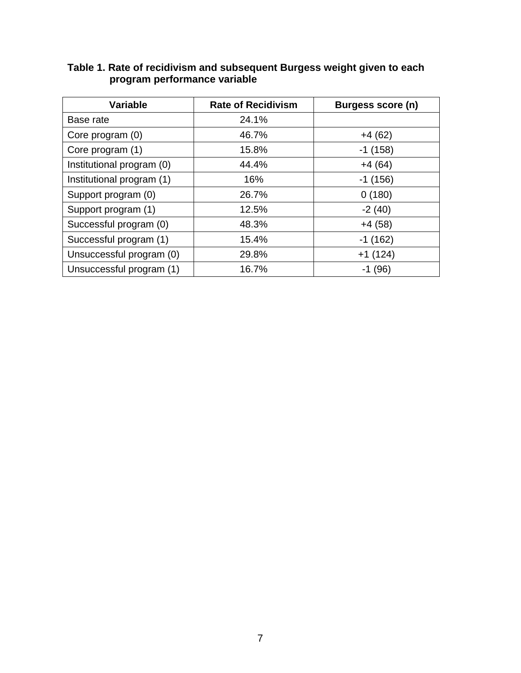| <b>Variable</b>           | <b>Rate of Recidivism</b> | Burgess score (n) |
|---------------------------|---------------------------|-------------------|
| Base rate                 | 24.1%                     |                   |
| Core program (0)          | 46.7%                     | $+4(62)$          |
| Core program (1)          | 15.8%                     | $-1(158)$         |
| Institutional program (0) | 44.4%                     | $+4(64)$          |
| Institutional program (1) | 16%                       | $-1(156)$         |
| Support program (0)       | 26.7%                     | 0(180)            |
| Support program (1)       | 12.5%                     | $-2(40)$          |
| Successful program (0)    | 48.3%                     | $+4(58)$          |
| Successful program (1)    | 15.4%                     | $-1(162)$         |
| Unsuccessful program (0)  | 29.8%                     | $+1(124)$         |
| Unsuccessful program (1)  | 16.7%                     | $-1(96)$          |

### **Table 1. Rate of recidivism and subsequent Burgess weight given to each program performance variable**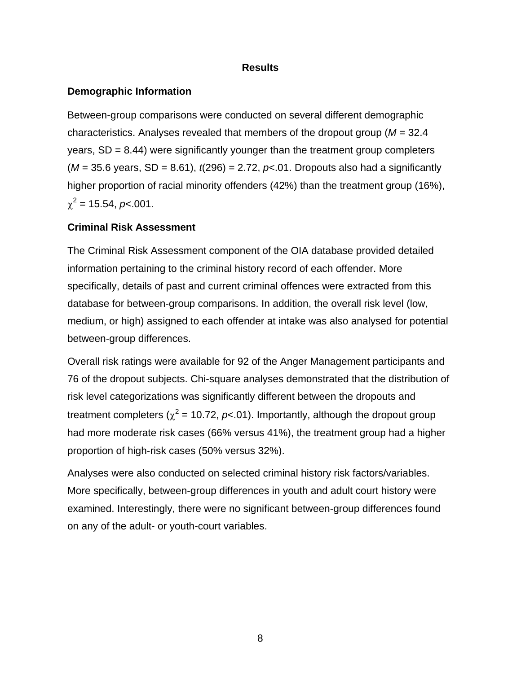### **Results**

### **Demographic Information**

Between-group comparisons were conducted on several different demographic characteristics. Analyses revealed that members of the dropout group (*M* = 32.4 years,  $SD = 8.44$ ) were significantly younger than the treatment group completers  $(M = 35.6$  years, SD = 8.61),  $t(296) = 2.72$ ,  $p<0.01$ . Dropouts also had a significantly higher proportion of racial minority offenders (42%) than the treatment group (16%),  $\chi^2$  = 15.54, *p*<.001.

### **Criminal Risk Assessment**

The Criminal Risk Assessment component of the OIA database provided detailed information pertaining to the criminal history record of each offender. More specifically, details of past and current criminal offences were extracted from this database for between-group comparisons. In addition, the overall risk level (low, medium, or high) assigned to each offender at intake was also analysed for potential between-group differences.

Overall risk ratings were available for 92 of the Anger Management participants and 76 of the dropout subjects. Chi-square analyses demonstrated that the distribution of risk level categorizations was significantly different between the dropouts and treatment completers ( $\chi^2$  = 10.72,  $p$ <.01). Importantly, although the dropout group had more moderate risk cases (66% versus 41%), the treatment group had a higher proportion of high-risk cases (50% versus 32%).

Analyses were also conducted on selected criminal history risk factors/variables. More specifically, between-group differences in youth and adult court history were examined. Interestingly, there were no significant between-group differences found on any of the adult- or youth-court variables.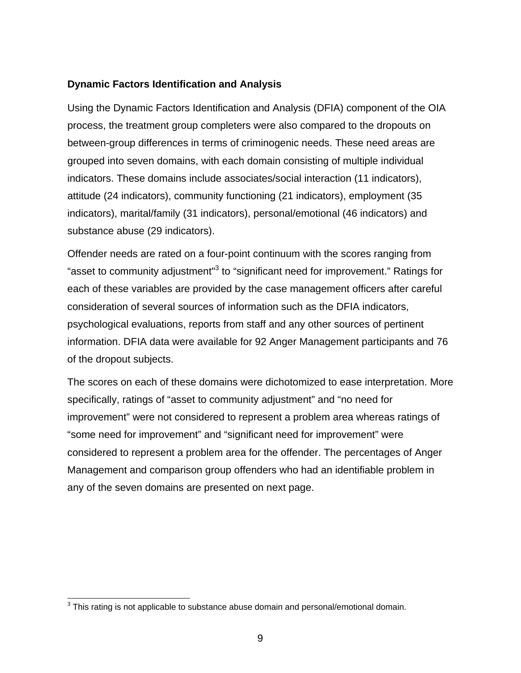### **Dynamic Factors Identification and Analysis**

Using the Dynamic Factors Identification and Analysis (DFIA) component of the OIA process, the treatment group completers were also compared to the dropouts on between-group differences in terms of criminogenic needs. These need areas are grouped into seven domains, with each domain consisting of multiple individual indicators. These domains include associates/social interaction (11 indicators), attitude (24 indicators), community functioning (21 indicators), employment (35 indicators), marital/family (31 indicators), personal/emotional (46 indicators) and substance abuse (29 indicators).

Offender needs are rated on a four-point continuum with the scores ranging from "asset to community adjustment"<sup>[3](#page-14-0)</sup> to "significant need for improvement." Ratings for each of these variables are provided by the case management officers after careful consideration of several sources of information such as the DFIA indicators, psychological evaluations, reports from staff and any other sources of pertinent information. DFIA data were available for 92 Anger Management participants and 76 of the dropout subjects.

The scores on each of these domains were dichotomized to ease interpretation. More specifically, ratings of "asset to community adjustment" and "no need for improvement" were not considered to represent a problem area whereas ratings of "some need for improvement" and "significant need for improvement" were considered to represent a problem area for the offender. The percentages of Anger Management and comparison group offenders who had an identifiable problem in any of the seven domains are presented on next page.

<span id="page-14-0"></span> 3 This rating is not applicable to substance abuse domain and personal/emotional domain.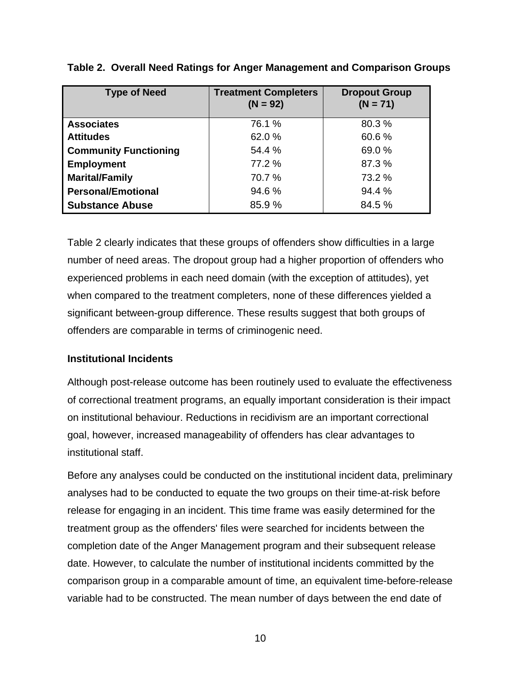| <b>Type of Need</b>          | <b>Treatment Completers</b><br>$(N = 92)$ | <b>Dropout Group</b><br>$(N = 71)$ |
|------------------------------|-------------------------------------------|------------------------------------|
| <b>Associates</b>            | 76.1 %                                    | 80.3%                              |
| <b>Attitudes</b>             | 62.0%                                     | 60.6%                              |
| <b>Community Functioning</b> | 54.4 %                                    | 69.0%                              |
| <b>Employment</b>            | 77.2 %                                    | 87.3%                              |
| <b>Marital/Family</b>        | 70.7 %                                    | 73.2 %                             |
| <b>Personal/Emotional</b>    | 94.6 %                                    | 94.4 %                             |
| <b>Substance Abuse</b>       | 85.9 %                                    | 84.5 %                             |

**Table 2. Overall Need Ratings for Anger Management and Comparison Groups**

Table 2 clearly indicates that these groups of offenders show difficulties in a large number of need areas. The dropout group had a higher proportion of offenders who experienced problems in each need domain (with the exception of attitudes), yet when compared to the treatment completers, none of these differences yielded a significant between-group difference. These results suggest that both groups of offenders are comparable in terms of criminogenic need.

### **Institutional Incidents**

Although post-release outcome has been routinely used to evaluate the effectiveness of correctional treatment programs, an equally important consideration is their impact on institutional behaviour. Reductions in recidivism are an important correctional goal, however, increased manageability of offenders has clear advantages to institutional staff.

Before any analyses could be conducted on the institutional incident data, preliminary analyses had to be conducted to equate the two groups on their time-at-risk before release for engaging in an incident. This time frame was easily determined for the treatment group as the offenders' files were searched for incidents between the completion date of the Anger Management program and their subsequent release date. However, to calculate the number of institutional incidents committed by the comparison group in a comparable amount of time, an equivalent time-before-release variable had to be constructed. The mean number of days between the end date of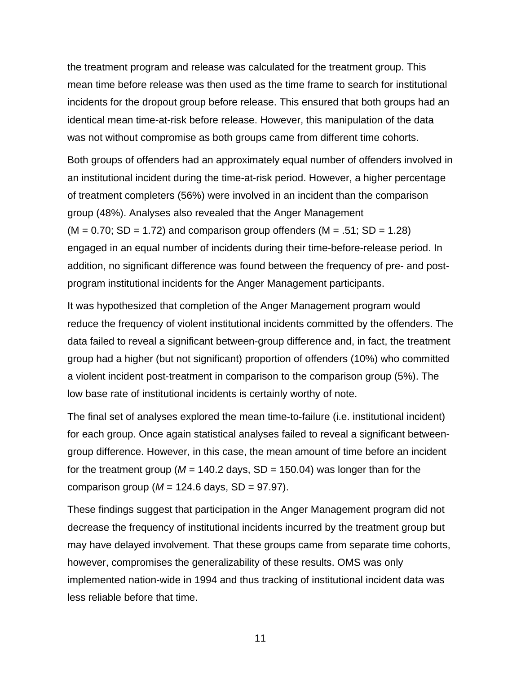the treatment program and release was calculated for the treatment group. This mean time before release was then used as the time frame to search for institutional incidents for the dropout group before release. This ensured that both groups had an identical mean time-at-risk before release. However, this manipulation of the data was not without compromise as both groups came from different time cohorts.

Both groups of offenders had an approximately equal number of offenders involved in an institutional incident during the time-at-risk period. However, a higher percentage of treatment completers (56%) were involved in an incident than the comparison group (48%). Analyses also revealed that the Anger Management  $(M = 0.70; SD = 1.72)$  and comparison group offenders  $(M = .51; SD = 1.28)$ engaged in an equal number of incidents during their time-before-release period. In addition, no significant difference was found between the frequency of pre- and postprogram institutional incidents for the Anger Management participants.

It was hypothesized that completion of the Anger Management program would reduce the frequency of violent institutional incidents committed by the offenders. The data failed to reveal a significant between-group difference and, in fact, the treatment group had a higher (but not significant) proportion of offenders (10%) who committed a violent incident post-treatment in comparison to the comparison group (5%). The low base rate of institutional incidents is certainly worthy of note.

The final set of analyses explored the mean time-to-failure (i.e. institutional incident) for each group. Once again statistical analyses failed to reveal a significant betweengroup difference. However, in this case, the mean amount of time before an incident for the treatment group ( $M = 140.2$  days,  $SD = 150.04$ ) was longer than for the comparison group ( $M = 124.6$  days,  $SD = 97.97$ ).

These findings suggest that participation in the Anger Management program did not decrease the frequency of institutional incidents incurred by the treatment group but may have delayed involvement. That these groups came from separate time cohorts, however, compromises the generalizability of these results. OMS was only implemented nation-wide in 1994 and thus tracking of institutional incident data was less reliable before that time.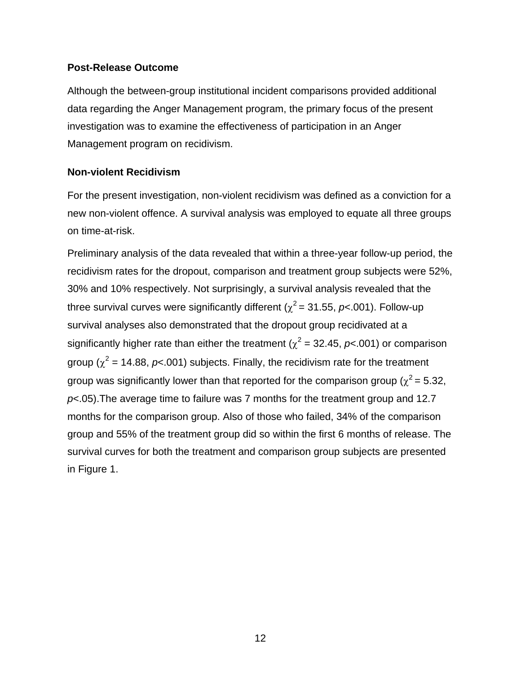#### **Post-Release Outcome**

Although the between-group institutional incident comparisons provided additional data regarding the Anger Management program, the primary focus of the present investigation was to examine the effectiveness of participation in an Anger Management program on recidivism.

#### **Non-violent Recidivism**

For the present investigation, non-violent recidivism was defined as a conviction for a new non-violent offence. A survival analysis was employed to equate all three groups on time-at-risk.

Preliminary analysis of the data revealed that within a three-year follow-up period, the recidivism rates for the dropout, comparison and treatment group subjects were 52%, 30% and 10% respectively. Not surprisingly, a survival analysis revealed that the three survival curves were significantly different ( $\chi^2$  = 31.55, *p*<.001). Follow-up survival analyses also demonstrated that the dropout group recidivated at a significantly higher rate than either the treatment ( $\chi^2$  = 32.45,  $p$ <.001) or comparison group ( $\chi^2$  = 14.88,  $p$ <.001) subjects. Finally, the recidivism rate for the treatment group was significantly lower than that reported for the comparison group ( $\chi^2$  = 5.32, *p*<.05).The average time to failure was 7 months for the treatment group and 12.7 months for the comparison group. Also of those who failed, 34% of the comparison group and 55% of the treatment group did so within the first 6 months of release. The survival curves for both the treatment and comparison group subjects are presented in Figure 1.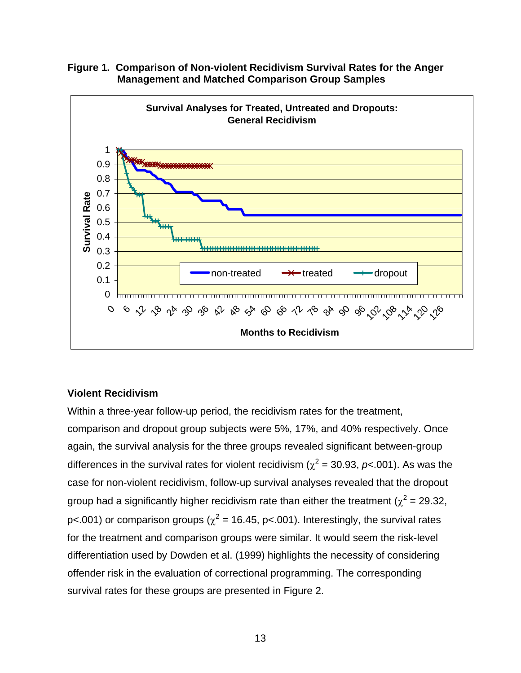

**Figure 1. Comparison of Non-violent Recidivism Survival Rates for the Anger Management and Matched Comparison Group Samples**

### **Violent Recidivism**

Within a three-year follow-up period, the recidivism rates for the treatment, comparison and dropout group subjects were 5%, 17%, and 40% respectively. Once again, the survival analysis for the three groups revealed significant between-group differences in the survival rates for violent recidivism ( $\chi^2$  = 30.93, *p*<.001). As was the case for non-violent recidivism, follow-up survival analyses revealed that the dropout group had a significantly higher recidivism rate than either the treatment ( $\chi^2$  = 29.32, p<.001) or comparison groups ( $\chi^2$  = 16.45, p<.001). Interestingly, the survival rates for the treatment and comparison groups were similar. It would seem the risk-level differentiation used by Dowden et al. (1999) highlights the necessity of considering offender risk in the evaluation of correctional programming. The corresponding survival rates for these groups are presented in Figure 2.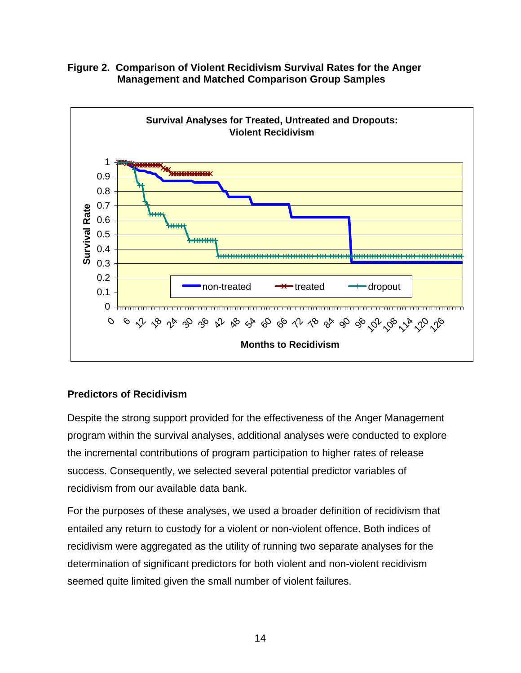



### **Predictors of Recidivism**

Despite the strong support provided for the effectiveness of the Anger Management program within the survival analyses, additional analyses were conducted to explore the incremental contributions of program participation to higher rates of release success. Consequently, we selected several potential predictor variables of recidivism from our available data bank.

For the purposes of these analyses, we used a broader definition of recidivism that entailed any return to custody for a violent or non-violent offence. Both indices of recidivism were aggregated as the utility of running two separate analyses for the determination of significant predictors for both violent and non-violent recidivism seemed quite limited given the small number of violent failures.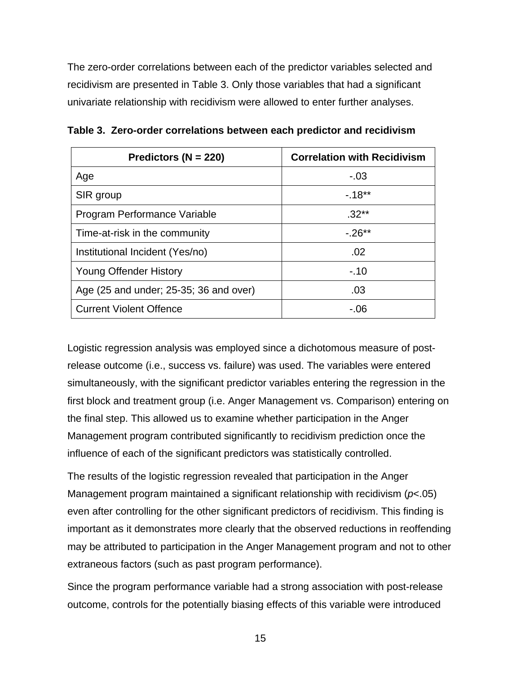The zero-order correlations between each of the predictor variables selected and recidivism are presented in Table 3. Only those variables that had a significant univariate relationship with recidivism were allowed to enter further analyses.

| Predictors ( $N = 220$ )               | <b>Correlation with Recidivism</b> |
|----------------------------------------|------------------------------------|
| Age                                    | $-.03$                             |
| SIR group                              | $-18**$                            |
| Program Performance Variable           | $.32**$                            |
| Time-at-risk in the community          | $-26**$                            |
| Institutional Incident (Yes/no)        | .02                                |
| <b>Young Offender History</b>          | $-.10$                             |
| Age (25 and under; 25-35; 36 and over) | .03                                |
| <b>Current Violent Offence</b>         | - 06                               |

**Table 3. Zero-order correlations between each predictor and recidivism**

Logistic regression analysis was employed since a dichotomous measure of postrelease outcome (i.e., success vs. failure) was used. The variables were entered simultaneously, with the significant predictor variables entering the regression in the first block and treatment group (i.e. Anger Management vs. Comparison) entering on the final step. This allowed us to examine whether participation in the Anger Management program contributed significantly to recidivism prediction once the influence of each of the significant predictors was statistically controlled.

The results of the logistic regression revealed that participation in the Anger Management program maintained a significant relationship with recidivism (*p*<.05) even after controlling for the other significant predictors of recidivism. This finding is important as it demonstrates more clearly that the observed reductions in reoffending may be attributed to participation in the Anger Management program and not to other extraneous factors (such as past program performance).

Since the program performance variable had a strong association with post-release outcome, controls for the potentially biasing effects of this variable were introduced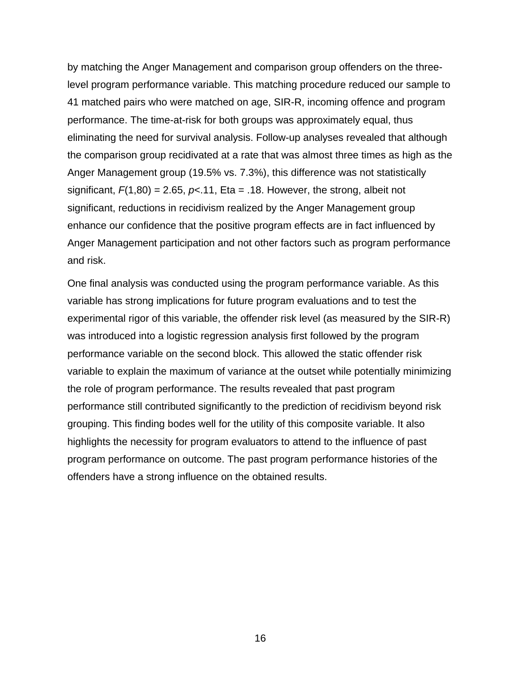by matching the Anger Management and comparison group offenders on the threelevel program performance variable. This matching procedure reduced our sample to 41 matched pairs who were matched on age, SIR-R, incoming offence and program performance. The time-at-risk for both groups was approximately equal, thus eliminating the need for survival analysis. Follow-up analyses revealed that although the comparison group recidivated at a rate that was almost three times as high as the Anger Management group (19.5% vs. 7.3%), this difference was not statistically significant,  $F(1,80) = 2.65$ ,  $p< 11$ , Eta = .18. However, the strong, albeit not significant, reductions in recidivism realized by the Anger Management group enhance our confidence that the positive program effects are in fact influenced by Anger Management participation and not other factors such as program performance and risk.

One final analysis was conducted using the program performance variable. As this variable has strong implications for future program evaluations and to test the experimental rigor of this variable, the offender risk level (as measured by the SIR-R) was introduced into a logistic regression analysis first followed by the program performance variable on the second block. This allowed the static offender risk variable to explain the maximum of variance at the outset while potentially minimizing the role of program performance. The results revealed that past program performance still contributed significantly to the prediction of recidivism beyond risk grouping. This finding bodes well for the utility of this composite variable. It also highlights the necessity for program evaluators to attend to the influence of past program performance on outcome. The past program performance histories of the offenders have a strong influence on the obtained results.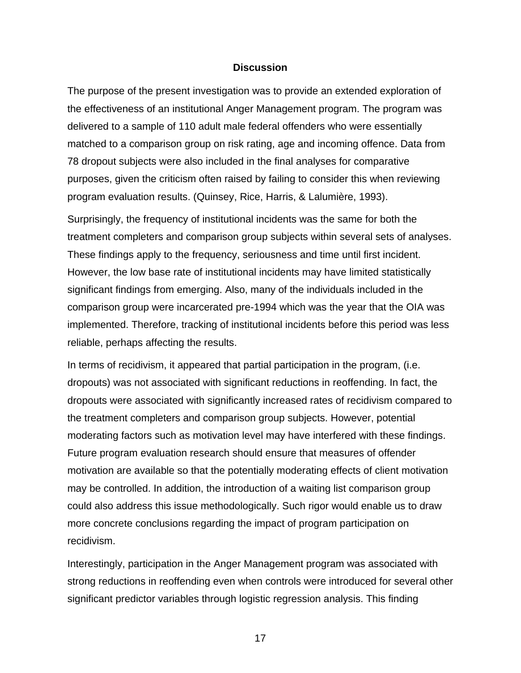#### **Discussion**

The purpose of the present investigation was to provide an extended exploration of the effectiveness of an institutional Anger Management program. The program was delivered to a sample of 110 adult male federal offenders who were essentially matched to a comparison group on risk rating, age and incoming offence. Data from 78 dropout subjects were also included in the final analyses for comparative purposes, given the criticism often raised by failing to consider this when reviewing program evaluation results. (Quinsey, Rice, Harris, & Lalumière, 1993).

Surprisingly, the frequency of institutional incidents was the same for both the treatment completers and comparison group subjects within several sets of analyses. These findings apply to the frequency, seriousness and time until first incident. However, the low base rate of institutional incidents may have limited statistically significant findings from emerging. Also, many of the individuals included in the comparison group were incarcerated pre-1994 which was the year that the OIA was implemented. Therefore, tracking of institutional incidents before this period was less reliable, perhaps affecting the results.

In terms of recidivism, it appeared that partial participation in the program, (i.e. dropouts) was not associated with significant reductions in reoffending. In fact, the dropouts were associated with significantly increased rates of recidivism compared to the treatment completers and comparison group subjects. However, potential moderating factors such as motivation level may have interfered with these findings. Future program evaluation research should ensure that measures of offender motivation are available so that the potentially moderating effects of client motivation may be controlled. In addition, the introduction of a waiting list comparison group could also address this issue methodologically. Such rigor would enable us to draw more concrete conclusions regarding the impact of program participation on recidivism.

Interestingly, participation in the Anger Management program was associated with strong reductions in reoffending even when controls were introduced for several other significant predictor variables through logistic regression analysis. This finding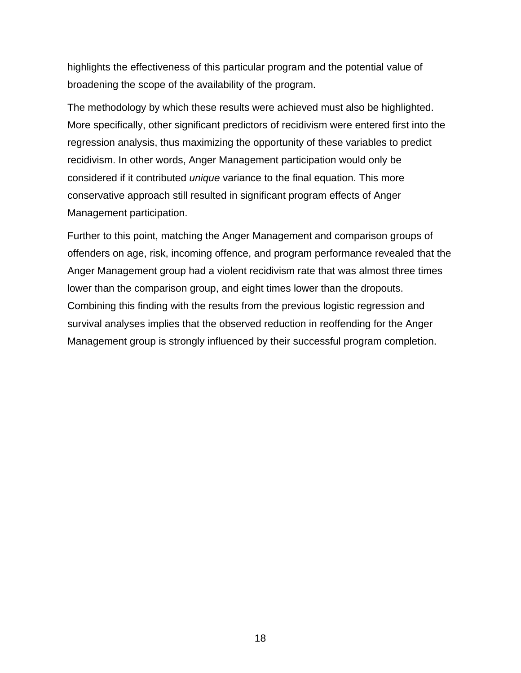highlights the effectiveness of this particular program and the potential value of broadening the scope of the availability of the program.

The methodology by which these results were achieved must also be highlighted. More specifically, other significant predictors of recidivism were entered first into the regression analysis, thus maximizing the opportunity of these variables to predict recidivism. In other words, Anger Management participation would only be considered if it contributed *unique* variance to the final equation. This more conservative approach still resulted in significant program effects of Anger Management participation.

Further to this point, matching the Anger Management and comparison groups of offenders on age, risk, incoming offence, and program performance revealed that the Anger Management group had a violent recidivism rate that was almost three times lower than the comparison group, and eight times lower than the dropouts. Combining this finding with the results from the previous logistic regression and survival analyses implies that the observed reduction in reoffending for the Anger Management group is strongly influenced by their successful program completion.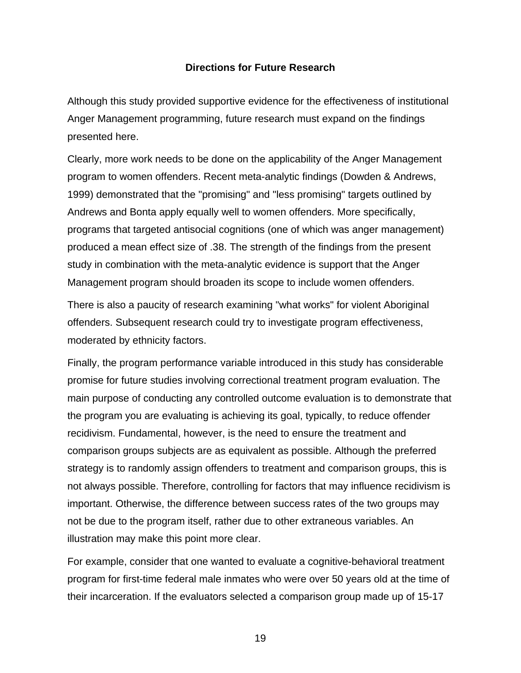#### **Directions for Future Research**

Although this study provided supportive evidence for the effectiveness of institutional Anger Management programming, future research must expand on the findings presented here.

Clearly, more work needs to be done on the applicability of the Anger Management program to women offenders. Recent meta-analytic findings (Dowden & Andrews, 1999) demonstrated that the "promising" and "less promising" targets outlined by Andrews and Bonta apply equally well to women offenders. More specifically, programs that targeted antisocial cognitions (one of which was anger management) produced a mean effect size of .38. The strength of the findings from the present study in combination with the meta-analytic evidence is support that the Anger Management program should broaden its scope to include women offenders.

There is also a paucity of research examining "what works" for violent Aboriginal offenders. Subsequent research could try to investigate program effectiveness, moderated by ethnicity factors.

Finally, the program performance variable introduced in this study has considerable promise for future studies involving correctional treatment program evaluation. The main purpose of conducting any controlled outcome evaluation is to demonstrate that the program you are evaluating is achieving its goal, typically, to reduce offender recidivism. Fundamental, however, is the need to ensure the treatment and comparison groups subjects are as equivalent as possible. Although the preferred strategy is to randomly assign offenders to treatment and comparison groups, this is not always possible. Therefore, controlling for factors that may influence recidivism is important. Otherwise, the difference between success rates of the two groups may not be due to the program itself, rather due to other extraneous variables. An illustration may make this point more clear.

For example, consider that one wanted to evaluate a cognitive-behavioral treatment program for first-time federal male inmates who were over 50 years old at the time of their incarceration. If the evaluators selected a comparison group made up of 15-17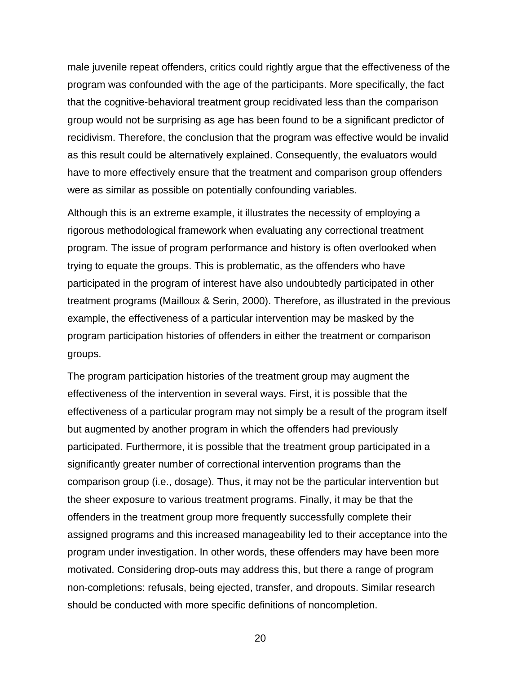male juvenile repeat offenders, critics could rightly argue that the effectiveness of the program was confounded with the age of the participants. More specifically, the fact that the cognitive-behavioral treatment group recidivated less than the comparison group would not be surprising as age has been found to be a significant predictor of recidivism. Therefore, the conclusion that the program was effective would be invalid as this result could be alternatively explained. Consequently, the evaluators would have to more effectively ensure that the treatment and comparison group offenders were as similar as possible on potentially confounding variables.

Although this is an extreme example, it illustrates the necessity of employing a rigorous methodological framework when evaluating any correctional treatment program. The issue of program performance and history is often overlooked when trying to equate the groups. This is problematic, as the offenders who have participated in the program of interest have also undoubtedly participated in other treatment programs (Mailloux & Serin, 2000). Therefore, as illustrated in the previous example, the effectiveness of a particular intervention may be masked by the program participation histories of offenders in either the treatment or comparison groups.

The program participation histories of the treatment group may augment the effectiveness of the intervention in several ways. First, it is possible that the effectiveness of a particular program may not simply be a result of the program itself but augmented by another program in which the offenders had previously participated. Furthermore, it is possible that the treatment group participated in a significantly greater number of correctional intervention programs than the comparison group (i.e., dosage). Thus, it may not be the particular intervention but the sheer exposure to various treatment programs. Finally, it may be that the offenders in the treatment group more frequently successfully complete their assigned programs and this increased manageability led to their acceptance into the program under investigation. In other words, these offenders may have been more motivated. Considering drop-outs may address this, but there a range of program non-completions: refusals, being ejected, transfer, and dropouts. Similar research should be conducted with more specific definitions of noncompletion.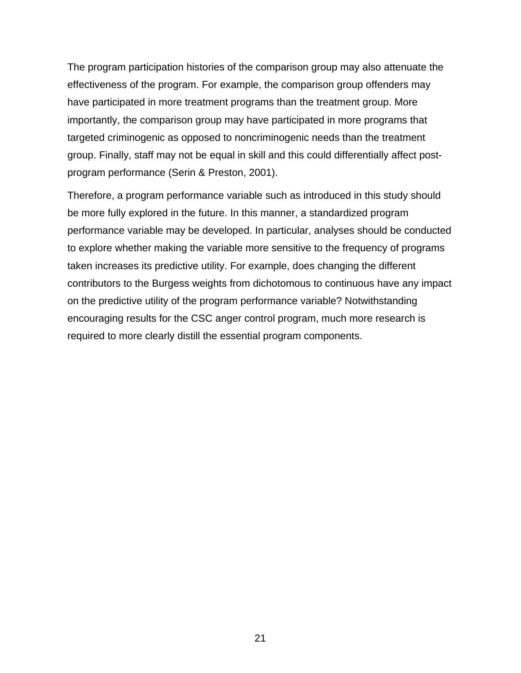The program participation histories of the comparison group may also attenuate the effectiveness of the program. For example, the comparison group offenders may have participated in more treatment programs than the treatment group. More importantly, the comparison group may have participated in more programs that targeted criminogenic as opposed to noncriminogenic needs than the treatment group. Finally, staff may not be equal in skill and this could differentially affect postprogram performance (Serin & Preston, 2001).

Therefore, a program performance variable such as introduced in this study should be more fully explored in the future. In this manner, a standardized program performance variable may be developed. In particular, analyses should be conducted to explore whether making the variable more sensitive to the frequency of programs taken increases its predictive utility. For example, does changing the different contributors to the Burgess weights from dichotomous to continuous have any impact on the predictive utility of the program performance variable? Notwithstanding encouraging results for the CSC anger control program, much more research is required to more clearly distill the essential program components.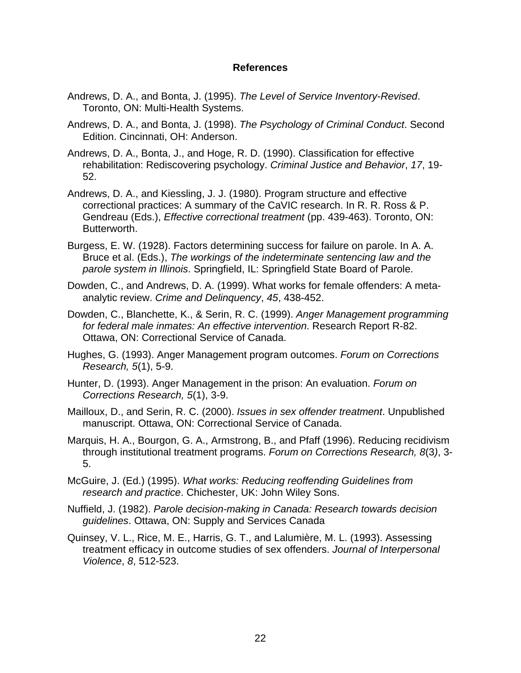#### **References**

- Andrews, D. A., and Bonta, J. (1995). *The Level of Service Inventory-Revised*. Toronto, ON: Multi-Health Systems.
- Andrews, D. A., and Bonta, J. (1998). *The Psychology of Criminal Conduct*. Second Edition. Cincinnati, OH: Anderson.
- Andrews, D. A., Bonta, J., and Hoge, R. D. (1990). Classification for effective rehabilitation: Rediscovering psychology. *Criminal Justice and Behavior*, *17*, 19- 52.
- Andrews, D. A., and Kiessling, J. J. (1980). Program structure and effective correctional practices: A summary of the CaVIC research. In R. R. Ross & P. Gendreau (Eds.), *Effective correctional treatment* (pp. 439-463). Toronto, ON: Butterworth.
- Burgess, E. W. (1928). Factors determining success for failure on parole. In A. A. Bruce et al. (Eds.), *The workings of the indeterminate sentencing law and the parole system in Illinois*. Springfield, IL: Springfield State Board of Parole.
- Dowden, C., and Andrews, D. A. (1999). What works for female offenders: A metaanalytic review. *Crime and Delinquency*, *45*, 438-452.
- Dowden, C., Blanchette, K., & Serin, R. C. (1999). *Anger Management programming for federal male inmates: An effective intervention*. Research Report R-82. Ottawa, ON: Correctional Service of Canada.
- Hughes, G. (1993). Anger Management program outcomes. *Forum on Corrections Research, 5*(1), 5-9.
- Hunter, D. (1993). Anger Management in the prison: An evaluation. *Forum on Corrections Research, 5*(1), 3-9.
- Mailloux, D., and Serin, R. C. (2000). *Issues in sex offender treatment*. Unpublished manuscript. Ottawa, ON: Correctional Service of Canada.
- Marquis, H. A., Bourgon, G. A., Armstrong, B., and Pfaff (1996). Reducing recidivism through institutional treatment programs. *Forum on Corrections Research, 8*(3*)*, 3- 5.
- McGuire, J. (Ed.) (1995). *What works: Reducing reoffending Guidelines from research and practice*. Chichester, UK: John Wiley Sons.
- Nuffield, J. (1982). *Parole decision-making in Canada: Research towards decision guidelines*. Ottawa, ON: Supply and Services Canada
- Quinsey, V. L., Rice, M. E., Harris, G. T., and Lalumière, M. L. (1993). Assessing treatment efficacy in outcome studies of sex offenders. *Journal of Interpersonal Violence*, *8*, 512-523.